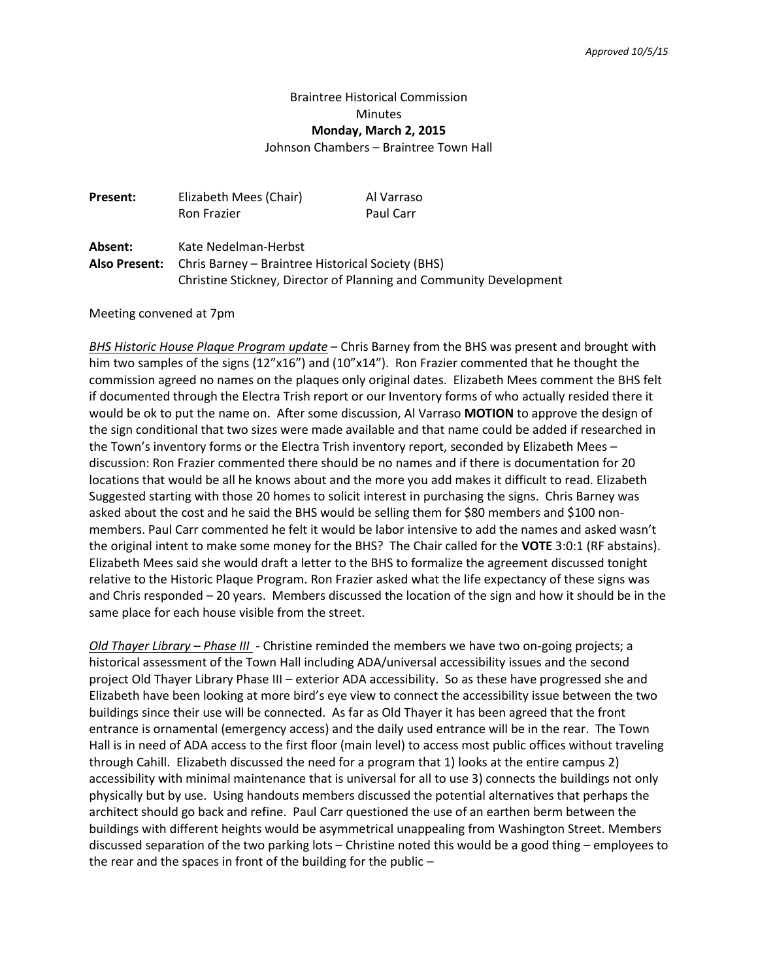## Braintree Historical Commission **Minutes Monday, March 2, 2015**

Johnson Chambers – Braintree Town Hall

| Present: | Elizabeth Mees (Chair)                                                 | Al Varraso |
|----------|------------------------------------------------------------------------|------------|
|          | Ron Frazier                                                            | Paul Carr  |
| Absent:  | Kate Nedelman-Herbst                                                   |            |
|          | <b>Also Present:</b> Chris Barney – Braintree Historical Society (BHS) |            |
|          | Christine Stickney, Director of Planning and Community Development     |            |

Meeting convened at 7pm

*BHS Historic House Plaque Program update* – Chris Barney from the BHS was present and brought with him two samples of the signs (12"x16") and (10"x14"). Ron Frazier commented that he thought the commission agreed no names on the plaques only original dates. Elizabeth Mees comment the BHS felt if documented through the Electra Trish report or our Inventory forms of who actually resided there it would be ok to put the name on. After some discussion, Al Varraso **MOTION** to approve the design of the sign conditional that two sizes were made available and that name could be added if researched in the Town's inventory forms or the Electra Trish inventory report, seconded by Elizabeth Mees – discussion: Ron Frazier commented there should be no names and if there is documentation for 20 locations that would be all he knows about and the more you add makes it difficult to read. Elizabeth Suggested starting with those 20 homes to solicit interest in purchasing the signs. Chris Barney was asked about the cost and he said the BHS would be selling them for \$80 members and \$100 nonmembers. Paul Carr commented he felt it would be labor intensive to add the names and asked wasn't the original intent to make some money for the BHS? The Chair called for the **VOTE** 3:0:1 (RF abstains). Elizabeth Mees said she would draft a letter to the BHS to formalize the agreement discussed tonight relative to the Historic Plaque Program. Ron Frazier asked what the life expectancy of these signs was and Chris responded – 20 years. Members discussed the location of the sign and how it should be in the same place for each house visible from the street.

*Old Thayer Library – Phase III* - Christine reminded the members we have two on-going projects; a historical assessment of the Town Hall including ADA/universal accessibility issues and the second project Old Thayer Library Phase III – exterior ADA accessibility. So as these have progressed she and Elizabeth have been looking at more bird's eye view to connect the accessibility issue between the two buildings since their use will be connected. As far as Old Thayer it has been agreed that the front entrance is ornamental (emergency access) and the daily used entrance will be in the rear. The Town Hall is in need of ADA access to the first floor (main level) to access most public offices without traveling through Cahill. Elizabeth discussed the need for a program that 1) looks at the entire campus 2) accessibility with minimal maintenance that is universal for all to use 3) connects the buildings not only physically but by use. Using handouts members discussed the potential alternatives that perhaps the architect should go back and refine. Paul Carr questioned the use of an earthen berm between the buildings with different heights would be asymmetrical unappealing from Washington Street. Members discussed separation of the two parking lots – Christine noted this would be a good thing – employees to the rear and the spaces in front of the building for the public –